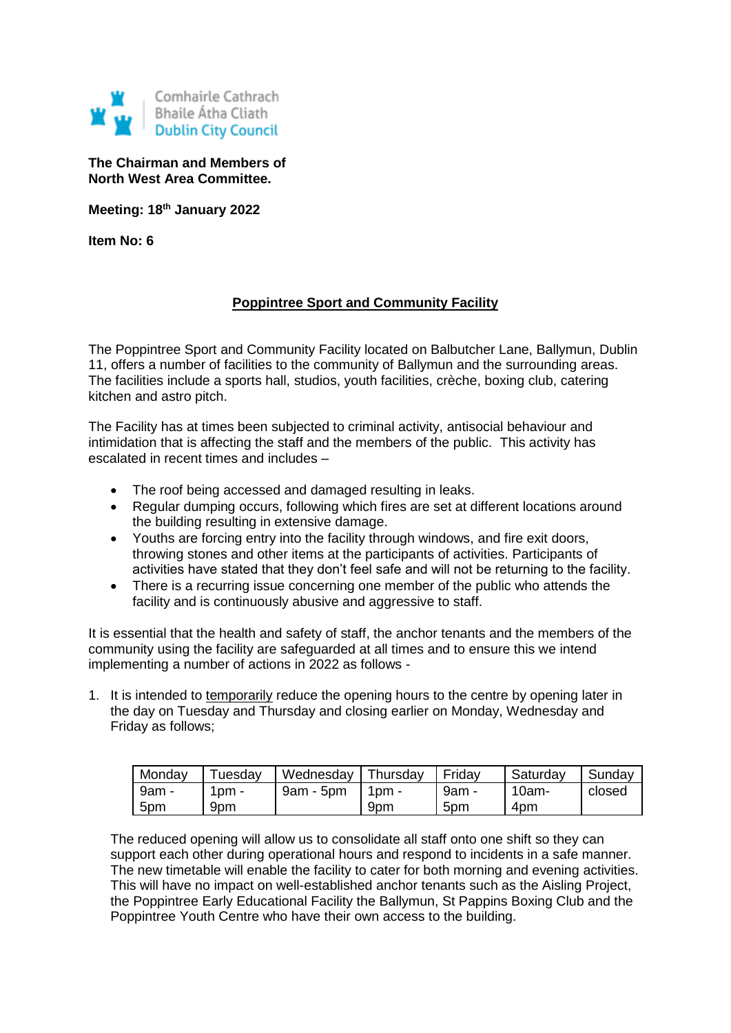

**The Chairman and Members of North West Area Committee.**

**Meeting: 18th January 2022**

**Item No: 6**

## **Poppintree Sport and Community Facility**

The Poppintree Sport and Community Facility located on Balbutcher Lane, Ballymun, Dublin 11, offers a number of facilities to the community of Ballymun and the surrounding areas. The facilities include a sports hall, studios, youth facilities, crèche, boxing club, catering kitchen and astro pitch.

The Facility has at times been subjected to criminal activity, antisocial behaviour and intimidation that is affecting the staff and the members of the public. This activity has escalated in recent times and includes –

- The roof being accessed and damaged resulting in leaks.
- Regular dumping occurs, following which fires are set at different locations around the building resulting in extensive damage.
- Youths are forcing entry into the facility through windows, and fire exit doors, throwing stones and other items at the participants of activities. Participants of activities have stated that they don't feel safe and will not be returning to the facility.
- There is a recurring issue concerning one member of the public who attends the facility and is continuously abusive and aggressive to staff.

It is essential that the health and safety of staff, the anchor tenants and the members of the community using the facility are safeguarded at all times and to ensure this we intend implementing a number of actions in 2022 as follows -

1. It is intended to temporarily reduce the opening hours to the centre by opening later in the day on Tuesday and Thursday and closing earlier on Monday, Wednesday and Friday as follows;

| Monday          | uesdav | Wednesday   | Thursday | Friday | Saturday | Sunday |
|-----------------|--------|-------------|----------|--------|----------|--------|
| 9am -           | $pm -$ | $9am - 5pm$ | 1pm -    | 9am -  | 10am-    | closed |
| 5 <sub>pm</sub> | 9pm    |             | 9pm      | 5pm    | 4pm      |        |

The reduced opening will allow us to consolidate all staff onto one shift so they can support each other during operational hours and respond to incidents in a safe manner. The new timetable will enable the facility to cater for both morning and evening activities. This will have no impact on well-established anchor tenants such as the Aisling Project, the Poppintree Early Educational Facility the Ballymun, St Pappins Boxing Club and the Poppintree Youth Centre who have their own access to the building.